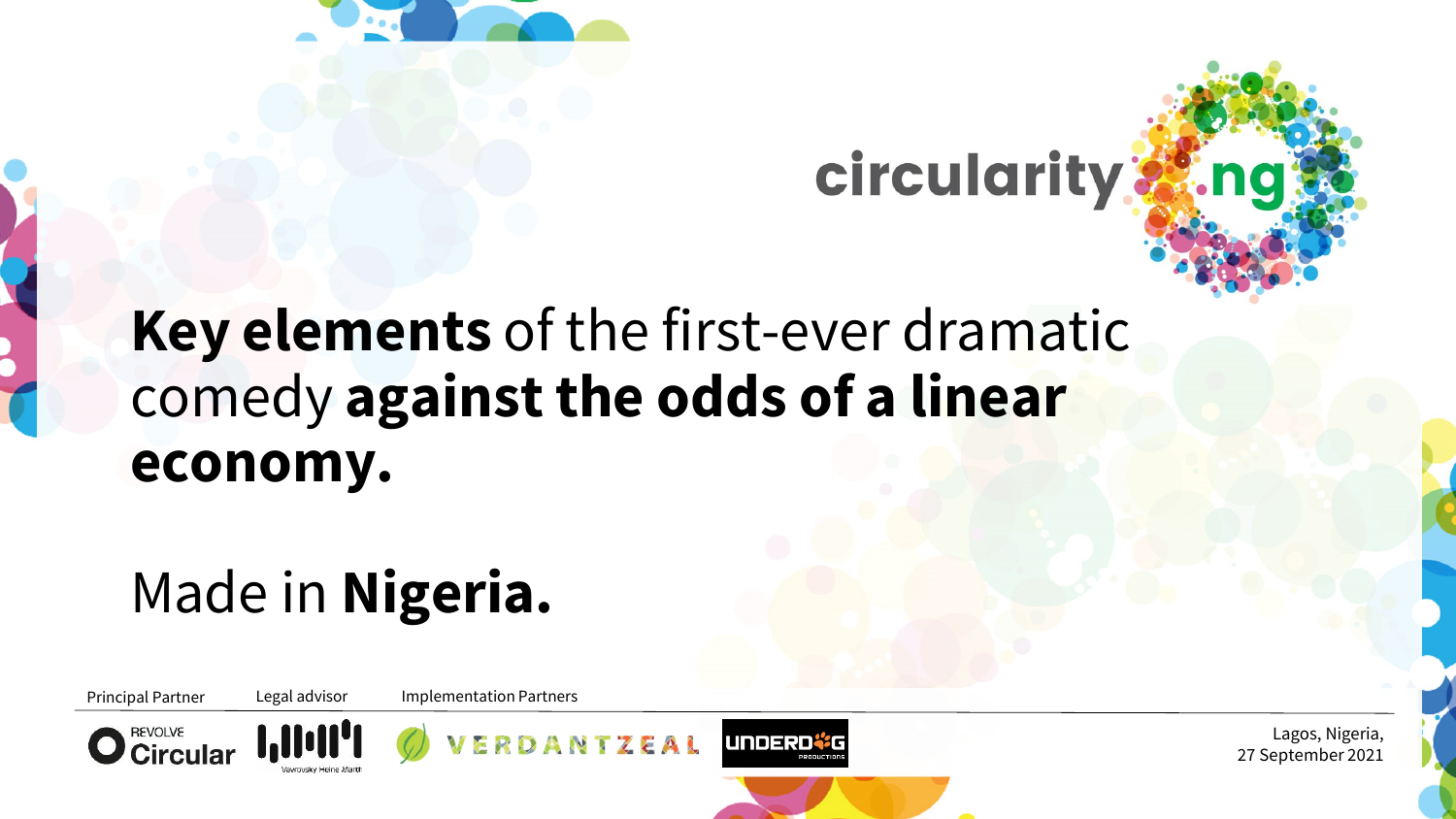

circularity



# **Key elements** of the first-ever dramatic comedy **against the odds of a linear economy.**

# Made in **Nigeria.**

Principal Partner Legal advisor Implementation Partners





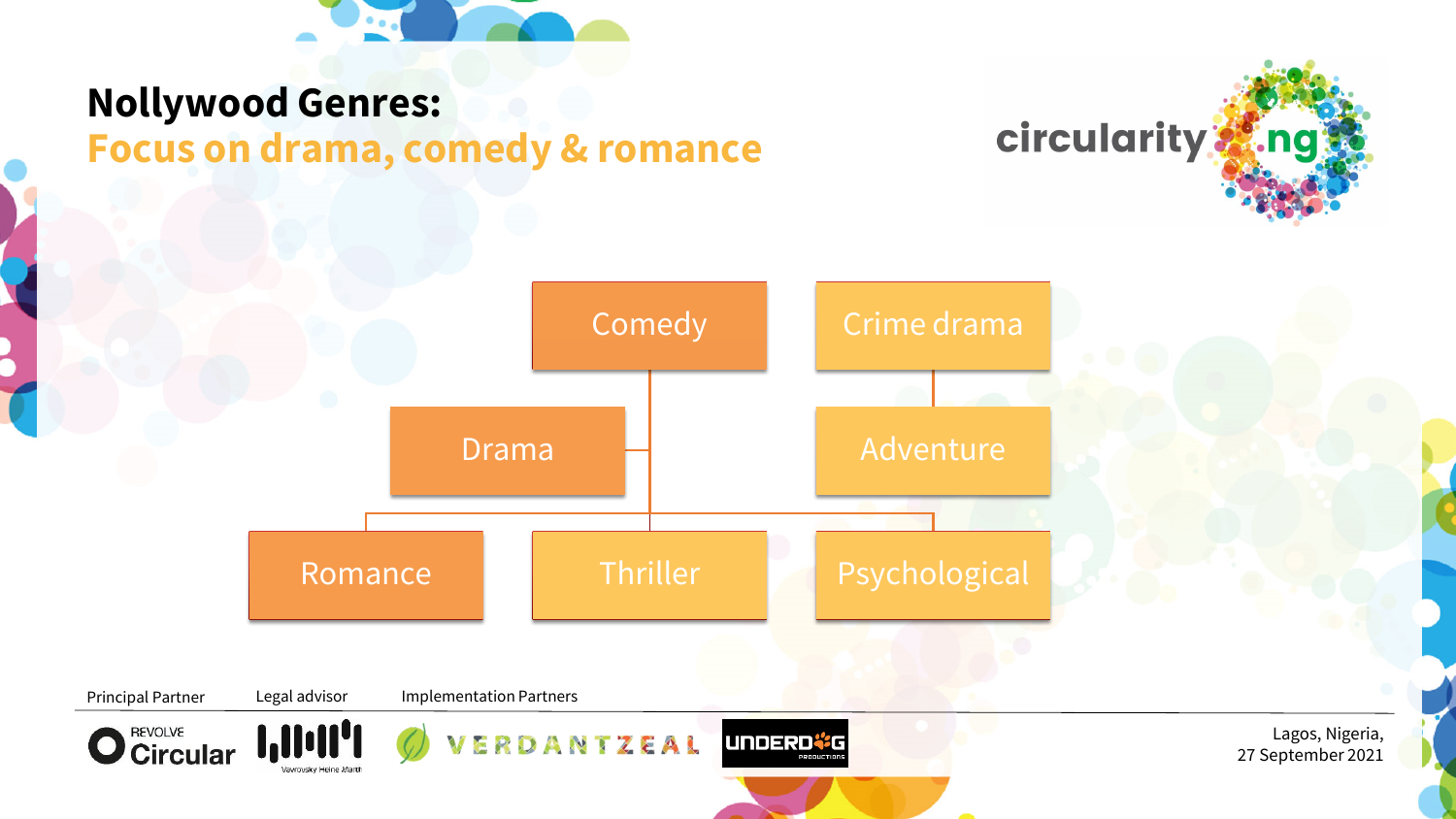

#### **Nollywood Genres: Focus on drama, comedy & romance**



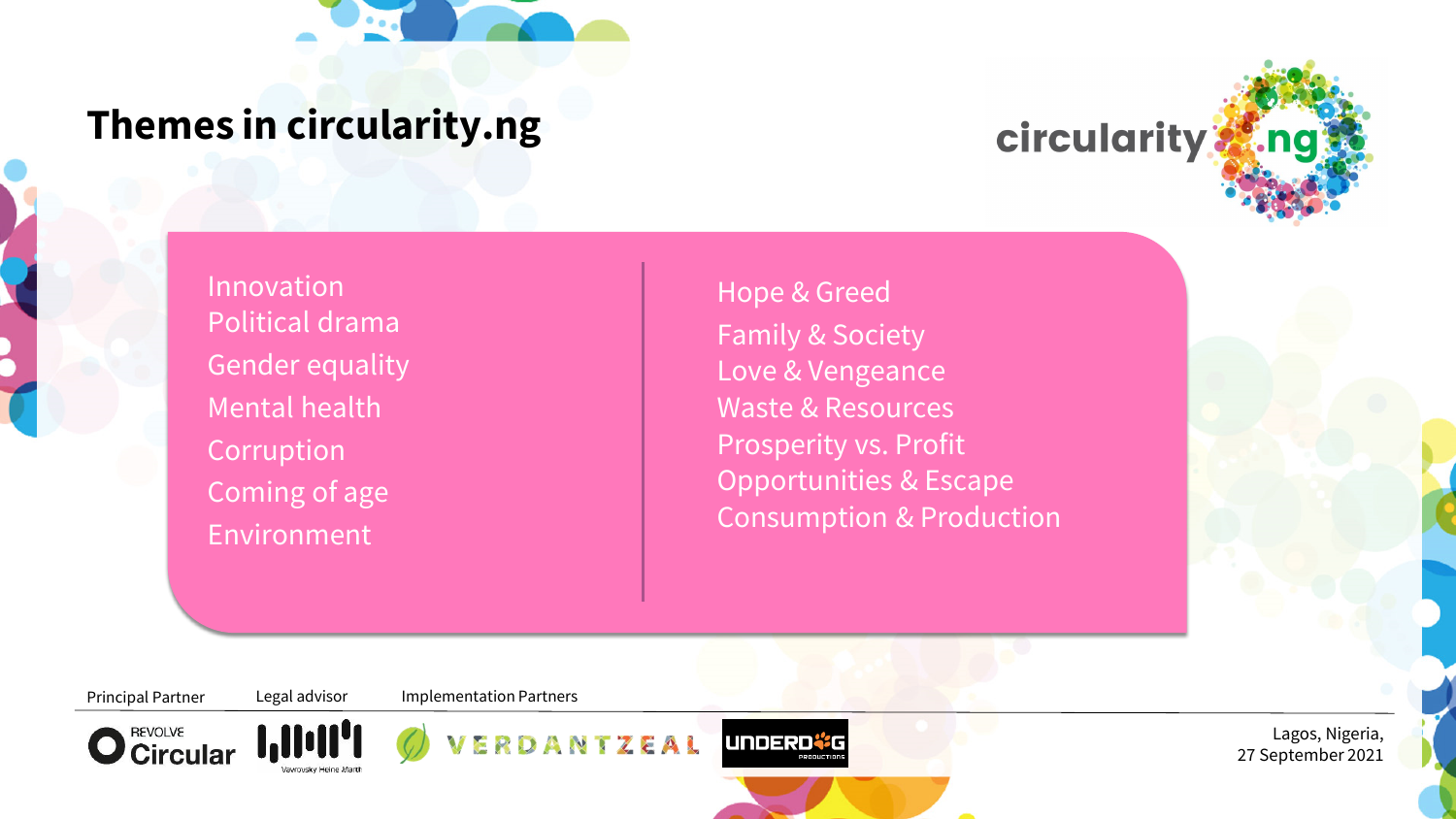

### **Themes in circularity.ng**



Innovation Political drama Gender equality Mental health **Corruption** Coming of age Environment

Hope & Greed Family & Society Love & Vengeance Waste & Resources Prosperity vs. Profit Opportunities & Escape Consumption & Production

Principal Partner Legal advisor Implementation Partners





ZEAL

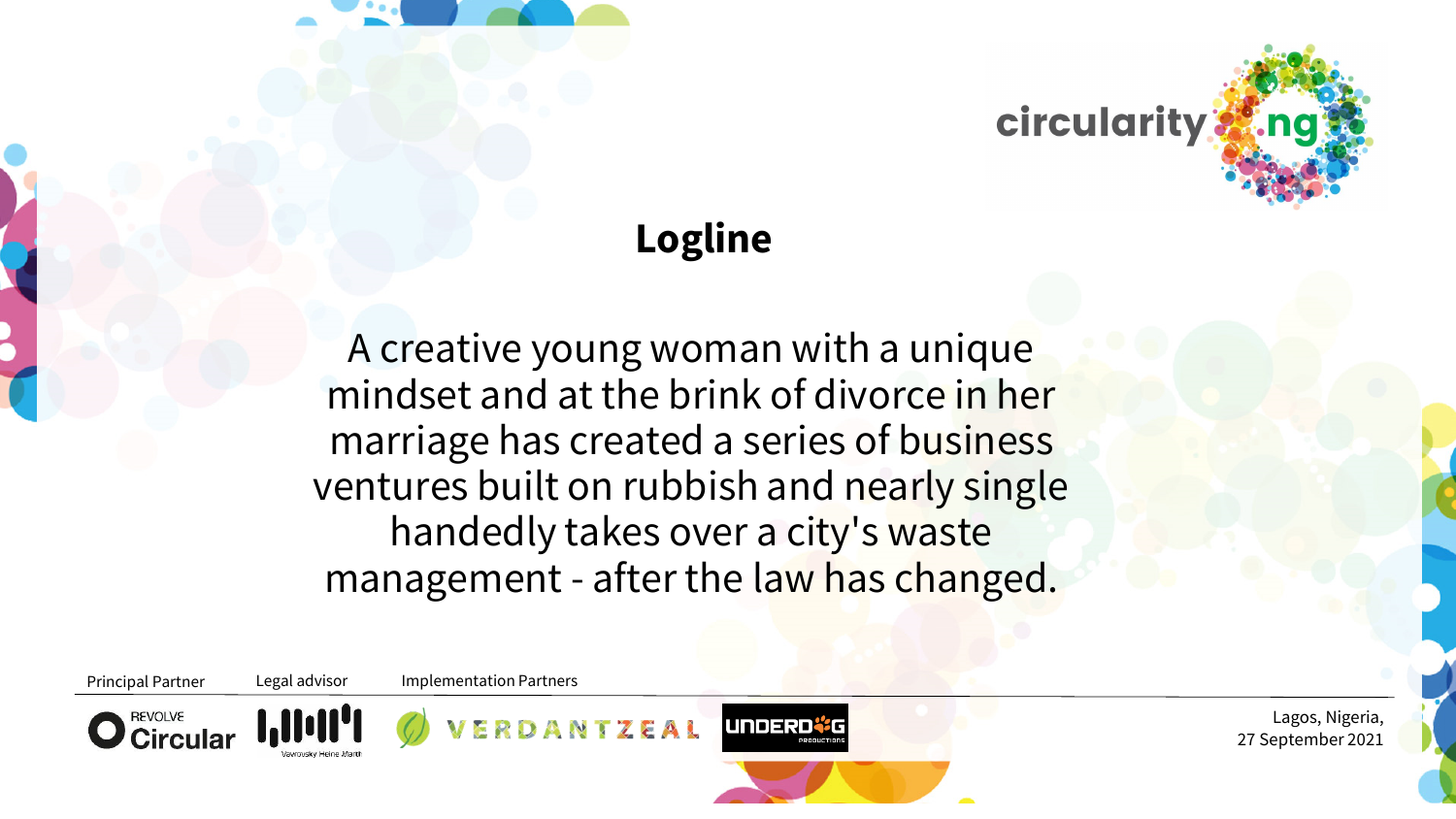

## **Logline**

A creative young woman with a unique mindset and at the brink of divorce in her marriage has created a series of business ventures built on rubbish and nearly single handedly takes over a city's waste management - after the law has changed.

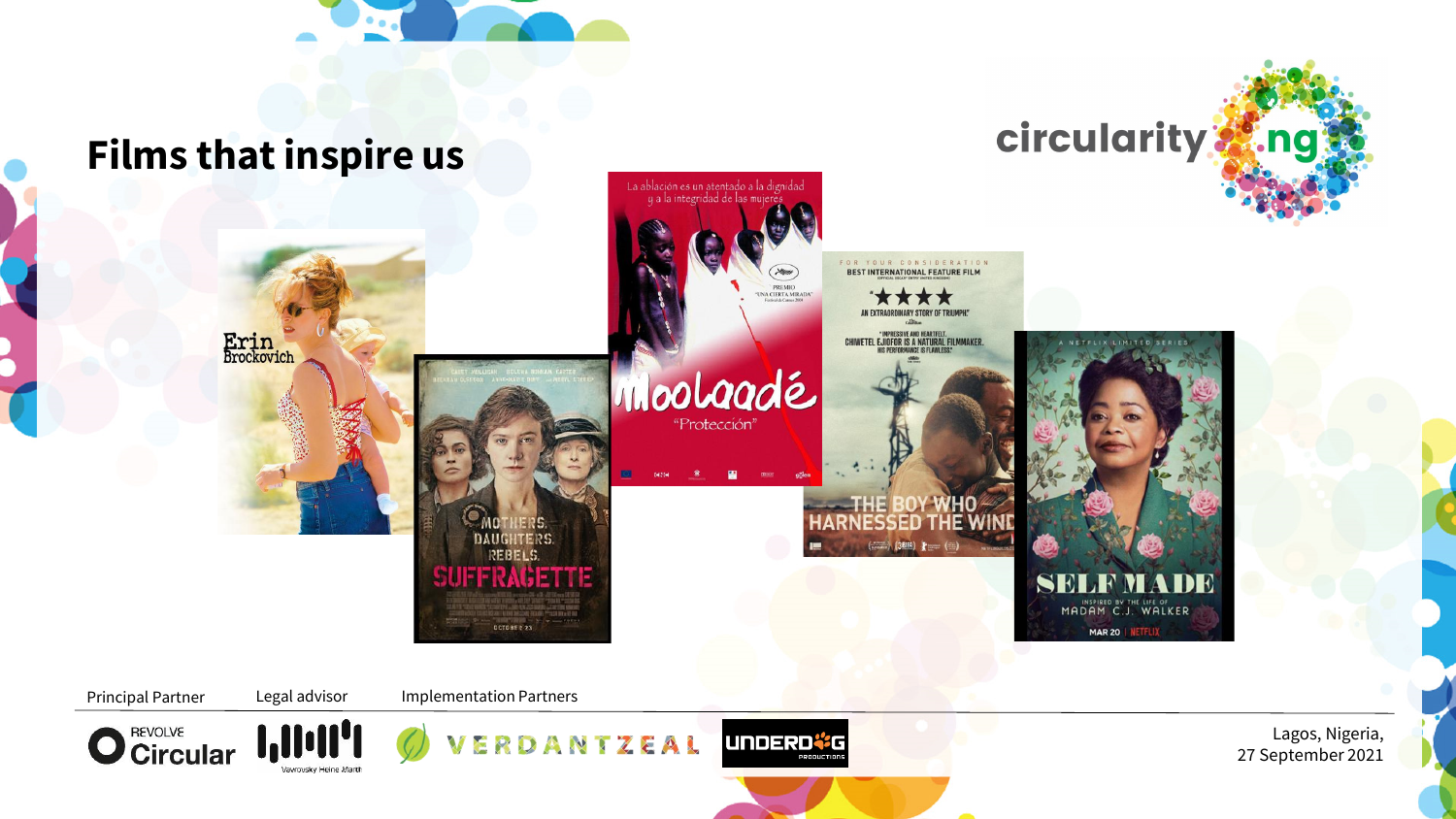

#### **Films that inspire us**







DCTOBER 23





circularity and

Principal Partner Legal advisor Implementation Partners





NTZEAL

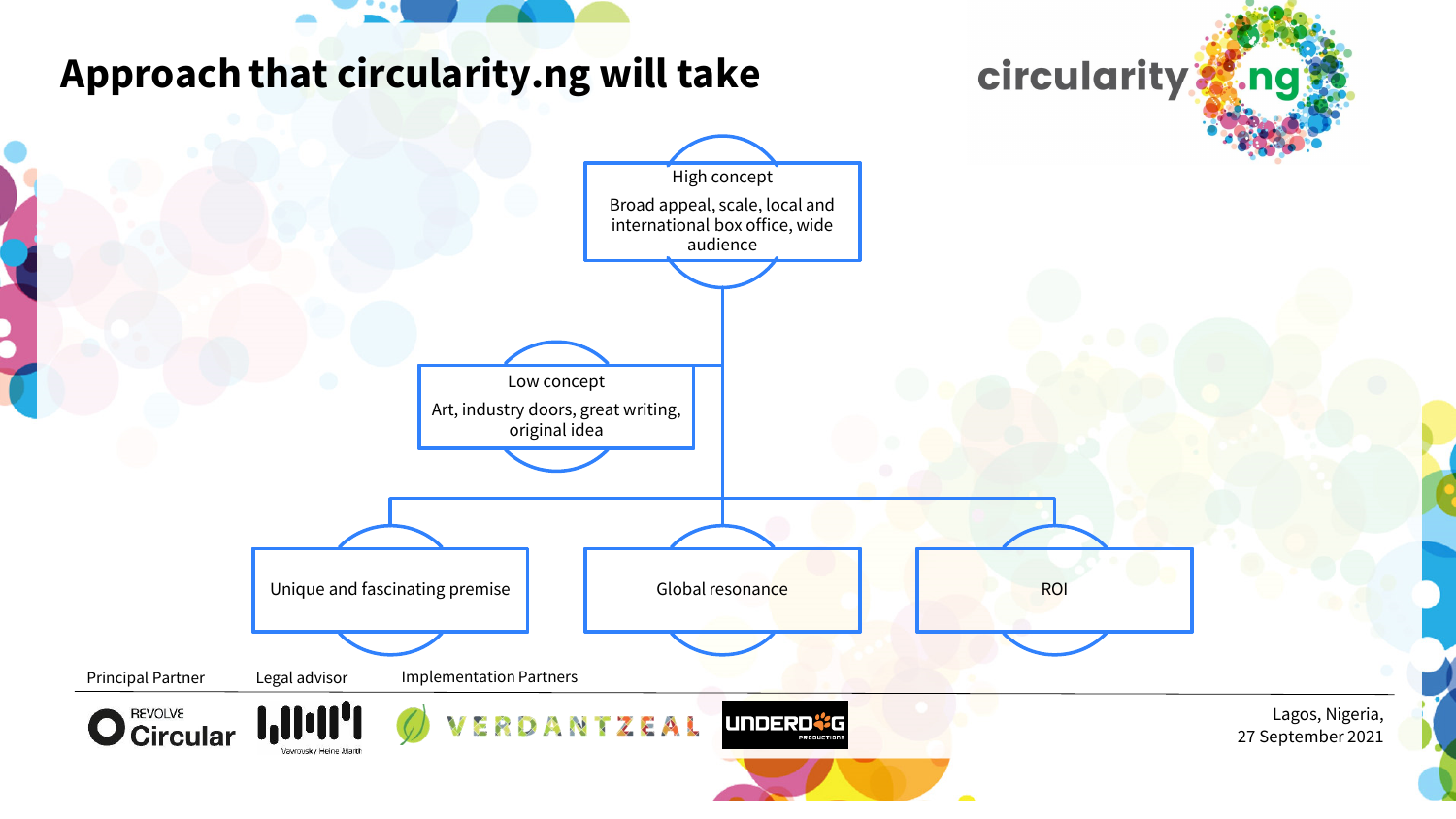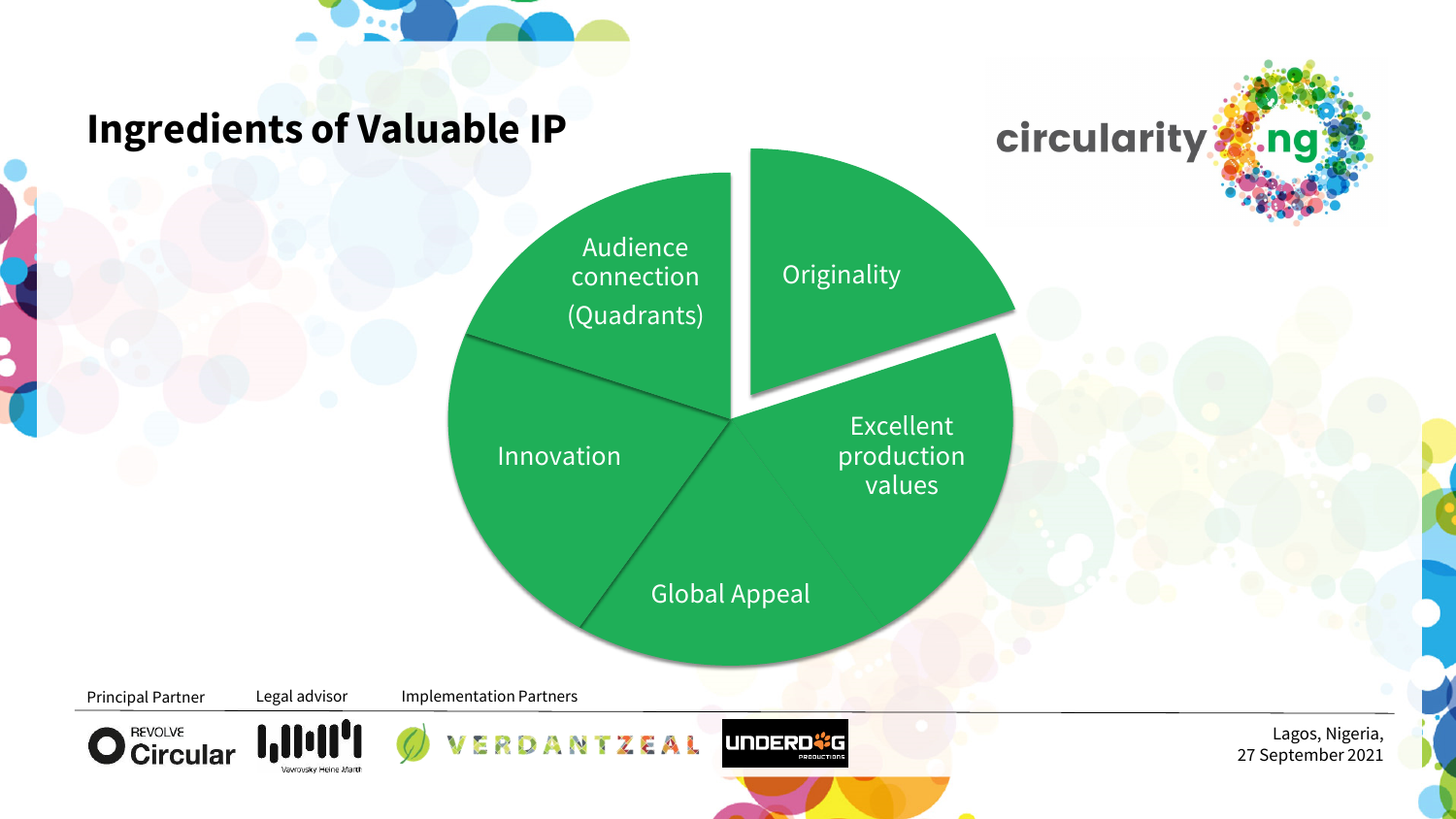

### **Ingredients of Valuable IP**

Audience connection (Quadrants)

Innovation

**Originality** 

Excellent production values

**circularity:** 

Global Appeal

Principal Partner Legal advisor Implementation Partners









Lagos, Nigeria, 27 September 2021

.na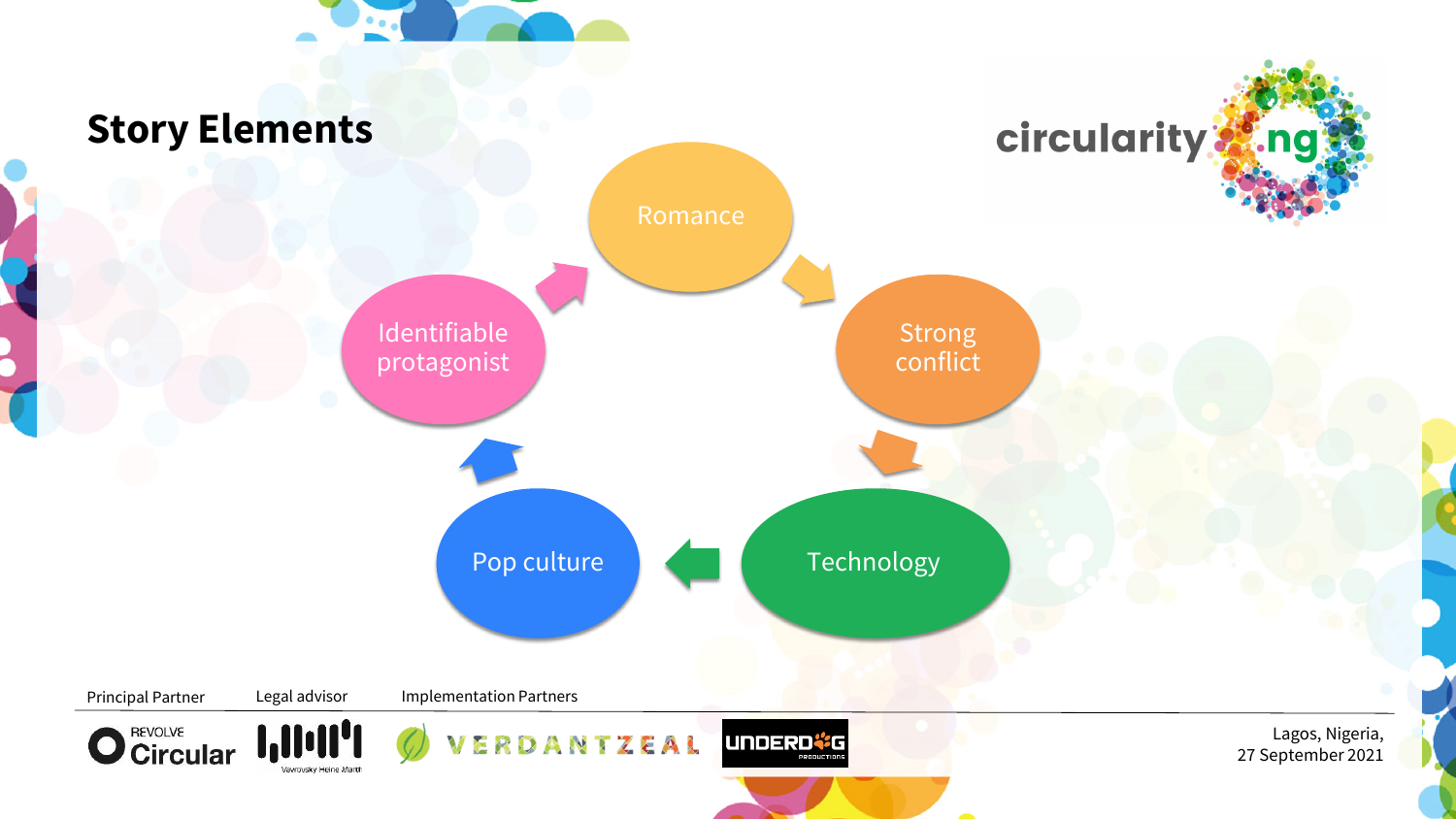

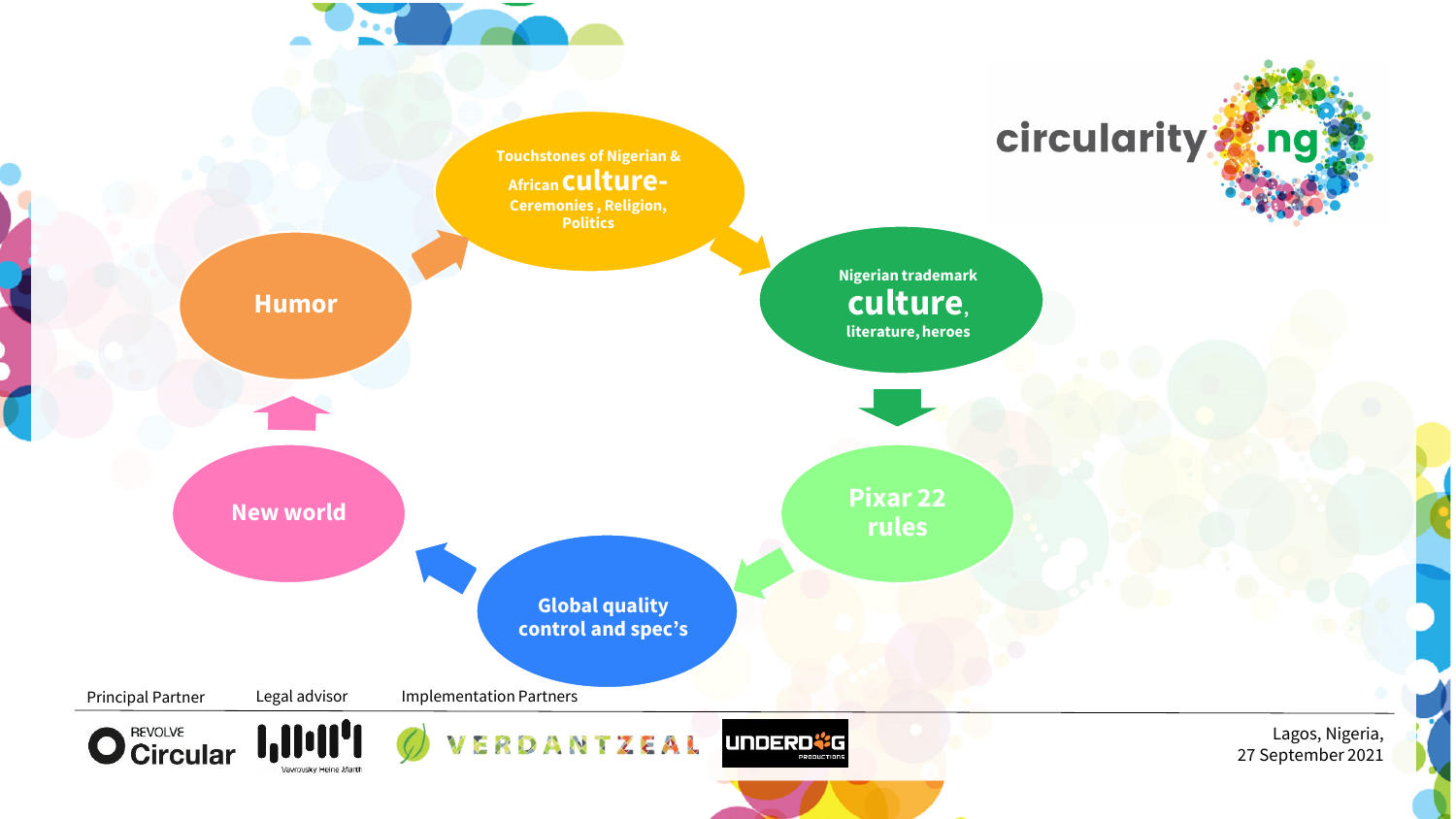